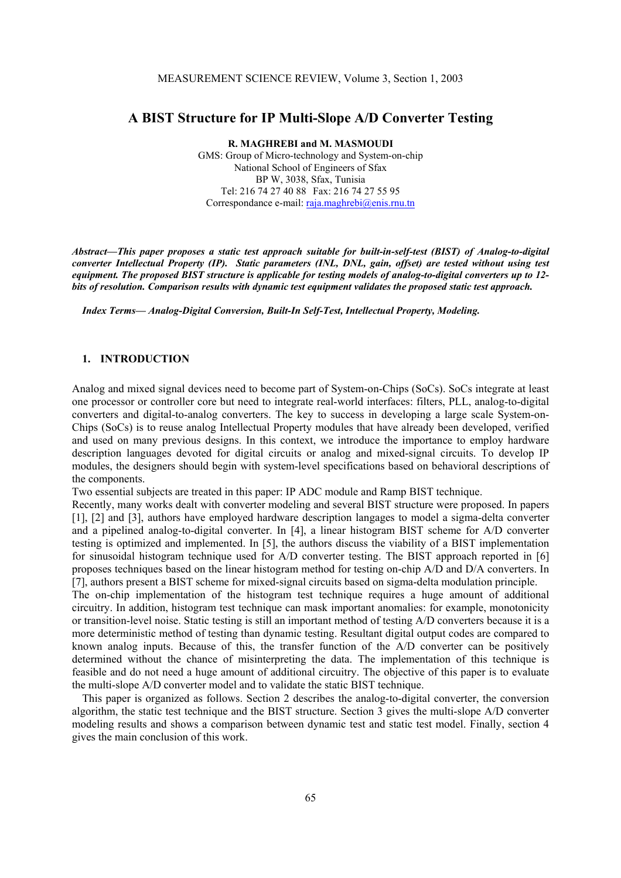# **A BIST Structure for IP Multi-Slope A/D Converter Testing**

**R. MAGHREBI and M. MASMOUDI** 

GMS: Group of Micro-technology and System-on-chip National School of Engineers of Sfax BP W, 3038, Sfax, Tunisia Tel: 216 74 27 40 88 Fax: 216 74 27 55 95 Correspondance e-mail: raja.maghrebi@enis.rnu.tn

*Abstract***—***This paper proposes a static test approach suitable for built-in-self-test (BIST) of Analog-to-digital converter Intellectual Property (IP). Static parameters (INL, DNL, gain, offset) are tested without using test equipment. The proposed BIST structure is applicable for testing models of analog-to-digital converters up to 12 bits of resolution. Comparison results with dynamic test equipment validates the proposed static test approach.*

*Index Terms— Analog-Digital Conversion, Built-In Self-Test, Intellectual Property, Modeling.* 

## **1. INTRODUCTION**

Analog and mixed signal devices need to become part of System-on-Chips (SoCs). SoCs integrate at least one processor or controller core but need to integrate real-world interfaces: filters, PLL, analog-to-digital converters and digital-to-analog converters. The key to success in developing a large scale System-on-Chips (SoCs) is to reuse analog Intellectual Property modules that have already been developed, verified and used on many previous designs. In this context, we introduce the importance to employ hardware description languages devoted for digital circuits or analog and mixed-signal circuits. To develop IP modules, the designers should begin with system-level specifications based on behavioral descriptions of the components.

Two essential subjects are treated in this paper: IP ADC module and Ramp BIST technique.

Recently, many works dealt with converter modeling and several BIST structure were proposed. In papers [1], [2] and [3], authors have employed hardware description langages to model a sigma-delta converter and a pipelined analog-to-digital converter. In [4], a linear histogram BIST scheme for A/D converter testing is optimized and implemented. In [5], the authors discuss the viability of a BIST implementation for sinusoidal histogram technique used for A/D converter testing. The BIST approach reported in [6] proposes techniques based on the linear histogram method for testing on-chip A/D and D/A converters. In [7], authors present a BIST scheme for mixed-signal circuits based on sigma-delta modulation principle.

The on-chip implementation of the histogram test technique requires a huge amount of additional circuitry. In addition, histogram test technique can mask important anomalies: for example, monotonicity or transition-level noise. Static testing is still an important method of testing A/D converters because it is a more deterministic method of testing than dynamic testing. Resultant digital output codes are compared to known analog inputs. Because of this, the transfer function of the A/D converter can be positively determined without the chance of misinterpreting the data. The implementation of this technique is feasible and do not need a huge amount of additional circuitry. The objective of this paper is to evaluate the multi-slope A/D converter model and to validate the static BIST technique.

This paper is organized as follows. Section 2 describes the analog-to-digital converter, the conversion algorithm, the static test technique and the BIST structure. Section 3 gives the multi-slope A/D converter modeling results and shows a comparison between dynamic test and static test model. Finally, section 4 gives the main conclusion of this work.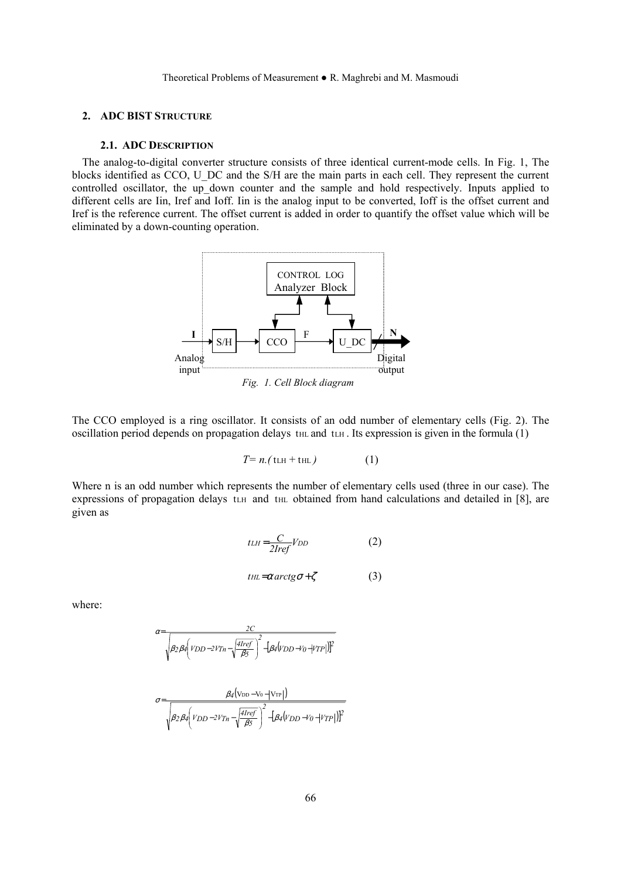## **2. ADC BIST STRUCTURE**

#### **2.1. ADC DESCRIPTION**

The analog-to-digital converter structure consists of three identical current-mode cells. In Fig. 1, The blocks identified as CCO, U\_DC and the S/H are the main parts in each cell. They represent the current controlled oscillator, the up down counter and the sample and hold respectively. Inputs applied to different cells are Iin, Iref and Ioff. Iin is the analog input to be converted, Ioff is the offset current and Iref is the reference current. The offset current is added in order to quantify the offset value which will be eliminated by a down-counting operation.



*Fig. 1. Cell Block diagram* 

The CCO employed is a ring oscillator. It consists of an odd number of elementary cells (Fig. 2). The oscillation period depends on propagation delays  $t_{HL}$  and  $t_{LH}$ . Its expression is given in the formula (1)

$$
T = n.(\text{th} + \text{th})\tag{1}
$$

Where n is an odd number which represents the number of elementary cells used (three in our case). The expressions of propagation delays tLH and tHL obtained from hand calculations and detailed in [8], are given as

$$
t L H = \frac{C}{2Iref} V_{DD} \tag{2}
$$

$$
t_{HL} = \alpha \arctg \sigma + \zeta \tag{3}
$$

where:

$$
\alpha{=}\frac{2C}{\sqrt{\beta_2\beta_4\left(VDD{-}2V_{Th}-\sqrt{\frac{4Iref}{\beta_5}}\right)^2-[\beta_4(V_{DD}{-}V_{0}{-}|V_{TP}|)]^2}}
$$

$$
\sigma = \frac{\beta_4 (\text{VDD-V0} - |\text{VTP}|)}{\sqrt{\beta_2 \beta_4} \left( \text{VDD}-2 \text{V}_{Tn} - \sqrt{\frac{4 \text{Iref}}{\beta_5}} \right)^2 - \left[ \beta_4 (\text{VDD-V0} - |\text{VTP}|) \right]^2}
$$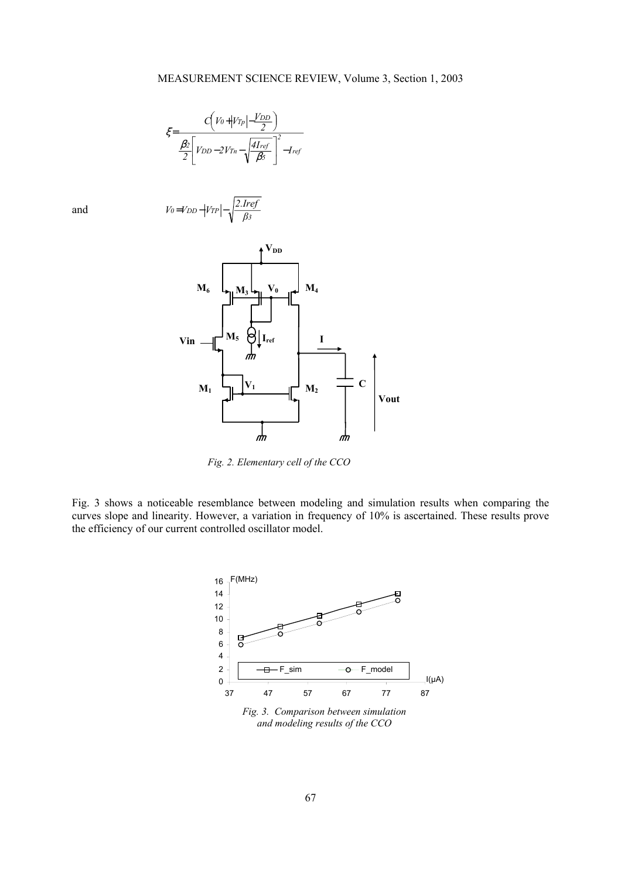$$
\xi = \frac{C\left(V_0 + |V_{Tp}| - \frac{V_{DD}}{2}\right)}{\frac{\beta_2}{2}\left[V_{DD} - 2V_{Tn} - \sqrt{\frac{4I_{ref}}{\beta_5}}\right]^2 - I_{ref}}
$$

and





*Fig. 2. Elementary cell of the CCO* 

Fig. 3 shows a noticeable resemblance between modeling and simulation results when comparing the curves slope and linearity. However, a variation in frequency of 10% is ascertained. These results prove the efficiency of our current controlled oscillator model.



*Fig. 3. Comparison between simulation and modeling results of the CCO*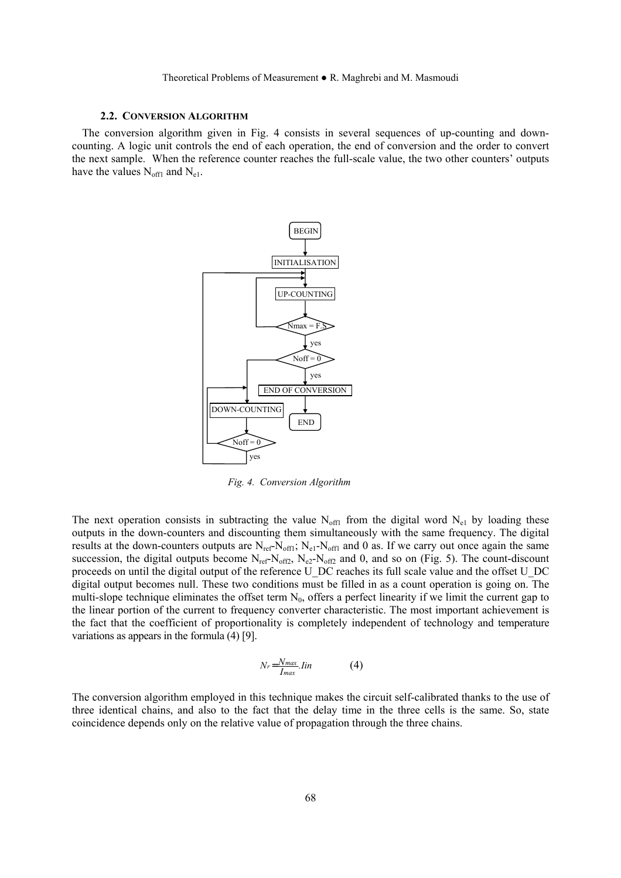#### **2.2. CONVERSION ALGORITHM**

The conversion algorithm given in Fig. 4 consists in several sequences of up-counting and downcounting. A logic unit controls the end of each operation, the end of conversion and the order to convert the next sample. When the reference counter reaches the full-scale value, the two other counters' outputs have the values  $N_{off1}$  and  $N_{e1}$ .



*Fig. 4. Conversion Algorithm* 

The next operation consists in subtracting the value  $N_{off1}$  from the digital word  $N_{e1}$  by loading these outputs in the down-counters and discounting them simultaneously with the same frequency. The digital results at the down-counters outputs are  $N_{ref}N_{off1}$ ;  $N_{el}N_{off1}$  and 0 as. If we carry out once again the same succession, the digital outputs become  $N_{ref}N_{off2}$ ,  $N_{e2}N_{off2}$  and 0, and so on (Fig. 5). The count-discount proceeds on until the digital output of the reference U\_DC reaches its full scale value and the offset U\_DC digital output becomes null. These two conditions must be filled in as a count operation is going on. The multi-slope technique eliminates the offset term  $N_0$ , offers a perfect linearity if we limit the current gap to the linear portion of the current to frequency converter characteristic. The most important achievement is the fact that the coefficient of proportionality is completely independent of technology and temperature variations as appears in the formula (4) [9].

$$
Nr = \frac{N_{max}}{I_{max}}. lin \tag{4}
$$

The conversion algorithm employed in this technique makes the circuit self-calibrated thanks to the use of three identical chains, and also to the fact that the delay time in the three cells is the same. So, state coincidence depends only on the relative value of propagation through the three chains.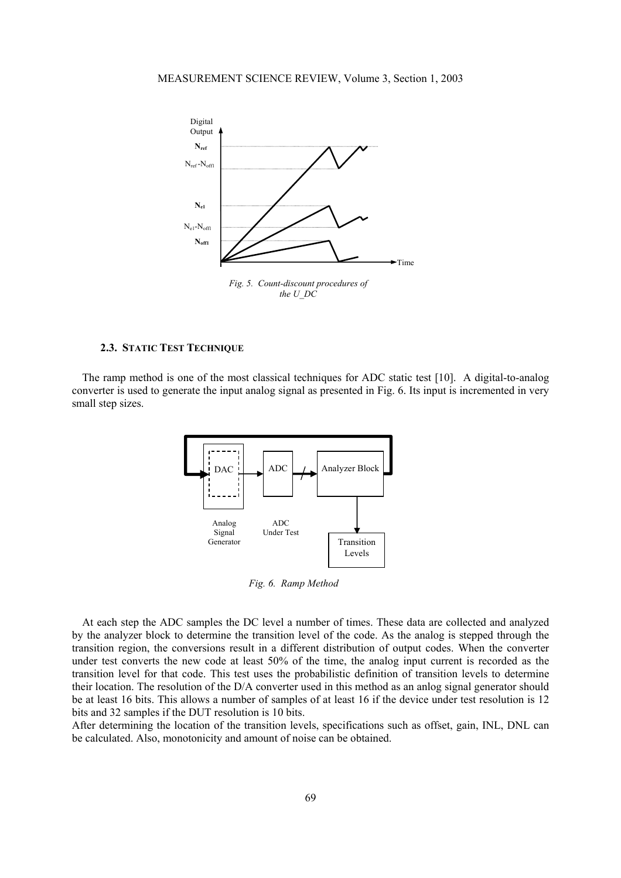

### **2.3. STATIC TEST TECHNIQUE**

The ramp method is one of the most classical techniques for ADC static test [10]. A digital-to-analog converter is used to generate the input analog signal as presented in Fig. 6. Its input is incremented in very small step sizes.



*Fig. 6. Ramp Method* 

At each step the ADC samples the DC level a number of times. These data are collected and analyzed by the analyzer block to determine the transition level of the code. As the analog is stepped through the transition region, the conversions result in a different distribution of output codes. When the converter under test converts the new code at least 50% of the time, the analog input current is recorded as the transition level for that code. This test uses the probabilistic definition of transition levels to determine their location. The resolution of the D/A converter used in this method as an anlog signal generator should be at least 16 bits. This allows a number of samples of at least 16 if the device under test resolution is 12 bits and 32 samples if the DUT resolution is 10 bits.

After determining the location of the transition levels, specifications such as offset, gain, INL, DNL can be calculated. Also, monotonicity and amount of noise can be obtained.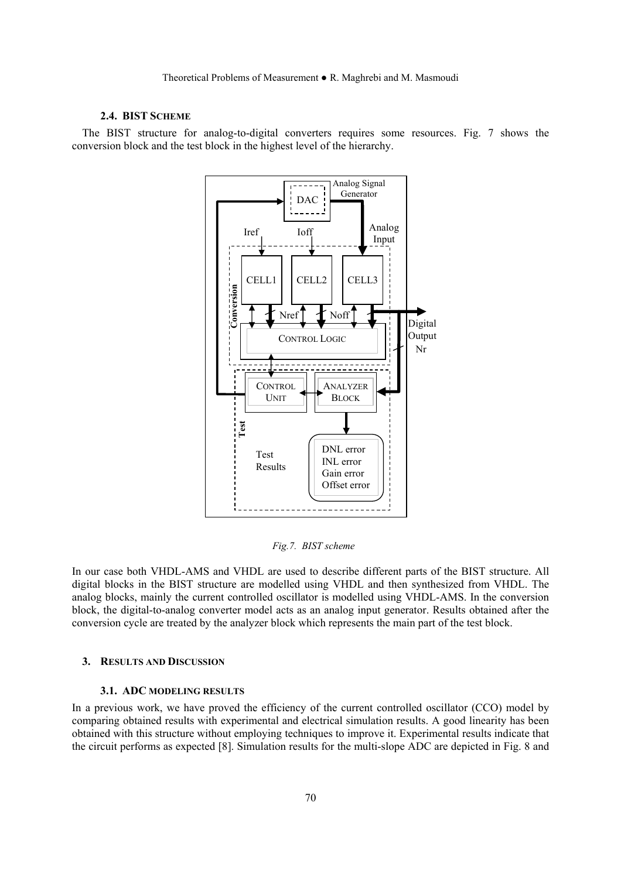## **2.4. BIST SCHEME**

The BIST structure for analog-to-digital converters requires some resources. Fig. 7 shows the conversion block and the test block in the highest level of the hierarchy.



*Fig.7. BIST scheme* 

In our case both VHDL-AMS and VHDL are used to describe different parts of the BIST structure. All digital blocks in the BIST structure are modelled using VHDL and then synthesized from VHDL. The analog blocks, mainly the current controlled oscillator is modelled using VHDL-AMS. In the conversion block, the digital-to-analog converter model acts as an analog input generator. Results obtained after the conversion cycle are treated by the analyzer block which represents the main part of the test block.

### **3. RESULTS AND DISCUSSION**

#### **3.1. ADC MODELING RESULTS**

In a previous work, we have proved the efficiency of the current controlled oscillator (CCO) model by comparing obtained results with experimental and electrical simulation results. A good linearity has been obtained with this structure without employing techniques to improve it. Experimental results indicate that the circuit performs as expected [8]. Simulation results for the multi-slope ADC are depicted in Fig. 8 and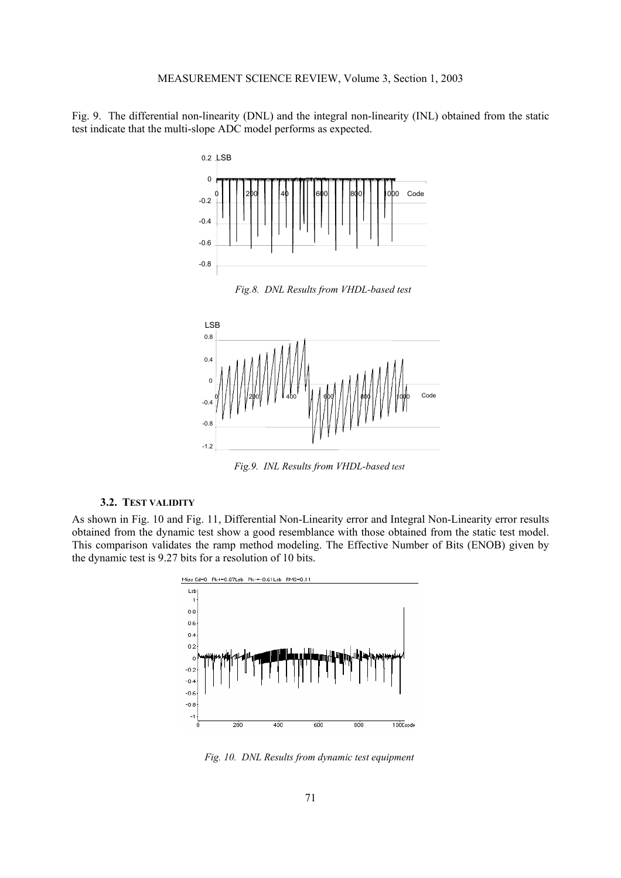Fig. 9. The differential non-linearity (DNL) and the integral non-linearity (INL) obtained from the static test indicate that the multi-slope ADC model performs as expected.



*Fig.8. DNL Results from VHDL-based test*



*Fig.9. INL Results from VHDL-based test* 

# **3.2. TEST VALIDITY**

As shown in Fig. 10 and Fig. 11, Differential Non-Linearity error and Integral Non-Linearity error results obtained from the dynamic test show a good resemblance with those obtained from the static test model. This comparison validates the ramp method modeling. The Effective Number of Bits (ENOB) given by the dynamic test is 9.27 bits for a resolution of 10 bits.



*Fig. 10. DNL Results from dynamic test equipment*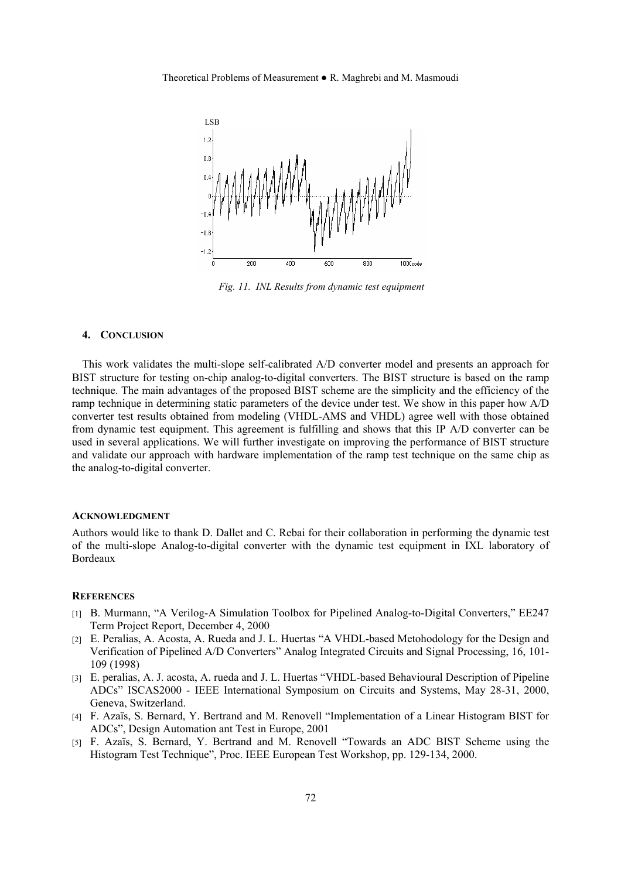

*Fig. 11. INL Results from dynamic test equipment*

#### **4. CONCLUSION**

This work validates the multi-slope self-calibrated A/D converter model and presents an approach for BIST structure for testing on-chip analog-to-digital converters. The BIST structure is based on the ramp technique. The main advantages of the proposed BIST scheme are the simplicity and the efficiency of the ramp technique in determining static parameters of the device under test. We show in this paper how A/D converter test results obtained from modeling (VHDL-AMS and VHDL) agree well with those obtained from dynamic test equipment. This agreement is fulfilling and shows that this IP A/D converter can be used in several applications. We will further investigate on improving the performance of BIST structure and validate our approach with hardware implementation of the ramp test technique on the same chip as the analog-to-digital converter.

#### **ACKNOWLEDGMENT**

Authors would like to thank D. Dallet and C. Rebai for their collaboration in performing the dynamic test of the multi-slope Analog-to-digital converter with the dynamic test equipment in IXL laboratory of Bordeaux

#### **REFERENCES**

- [1] B. Murmann, "A Verilog-A Simulation Toolbox for Pipelined Analog-to-Digital Converters," EE247 Term Project Report, December 4, 2000
- [2] E. Peralias, A. Acosta, A. Rueda and J. L. Huertas "A VHDL-based Metohodology for the Design and Verification of Pipelined A/D Converters" Analog Integrated Circuits and Signal Processing, 16, 101- 109 (1998)
- [3] E. peralias, A. J. acosta, A. rueda and J. L. Huertas "VHDL-based Behavioural Description of Pipeline ADCs" ISCAS2000 - IEEE International Symposium on Circuits and Systems, May 28-31, 2000, Geneva, Switzerland.
- [4] F. Azaïs, S. Bernard, Y. Bertrand and M. Renovell "Implementation of a Linear Histogram BIST for ADCs", Design Automation ant Test in Europe, 2001
- [5] F. Azaïs, S. Bernard, Y. Bertrand and M. Renovell "Towards an ADC BIST Scheme using the Histogram Test Technique", Proc. IEEE European Test Workshop, pp. 129-134, 2000.